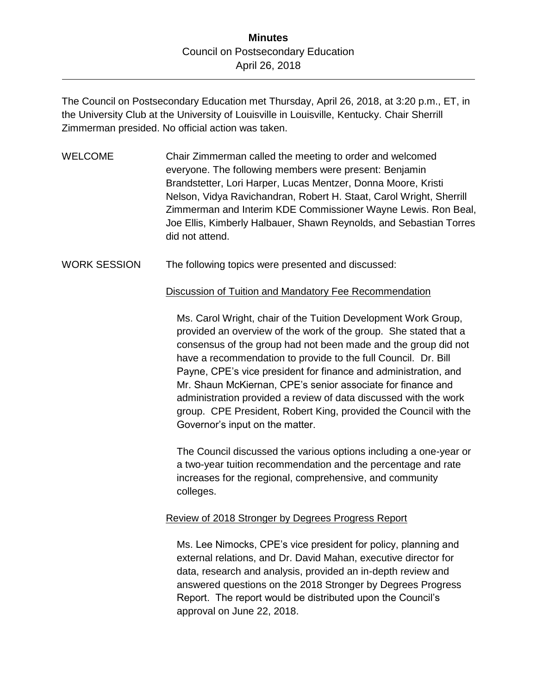The Council on Postsecondary Education met Thursday, April 26, 2018, at 3:20 p.m., ET, in the University Club at the University of Louisville in Louisville, Kentucky. Chair Sherrill Zimmerman presided. No official action was taken.

- WELCOME Chair Zimmerman called the meeting to order and welcomed everyone. The following members were present: Benjamin Brandstetter, Lori Harper, Lucas Mentzer, Donna Moore, Kristi Nelson, Vidya Ravichandran, Robert H. Staat, Carol Wright, Sherrill Zimmerman and Interim KDE Commissioner Wayne Lewis. Ron Beal, Joe Ellis, Kimberly Halbauer, Shawn Reynolds, and Sebastian Torres did not attend.
- WORK SESSION The following topics were presented and discussed:

## Discussion of Tuition and Mandatory Fee Recommendation

Ms. Carol Wright, chair of the Tuition Development Work Group, provided an overview of the work of the group. She stated that a consensus of the group had not been made and the group did not have a recommendation to provide to the full Council. Dr. Bill Payne, CPE's vice president for finance and administration, and Mr. Shaun McKiernan, CPE's senior associate for finance and administration provided a review of data discussed with the work group. CPE President, Robert King, provided the Council with the Governor's input on the matter.

The Council discussed the various options including a one-year or a two-year tuition recommendation and the percentage and rate increases for the regional, comprehensive, and community colleges.

## Review of 2018 Stronger by Degrees Progress Report

Ms. Lee Nimocks, CPE's vice president for policy, planning and external relations, and Dr. David Mahan, executive director for data, research and analysis, provided an in-depth review and answered questions on the 2018 Stronger by Degrees Progress Report. The report would be distributed upon the Council's approval on June 22, 2018.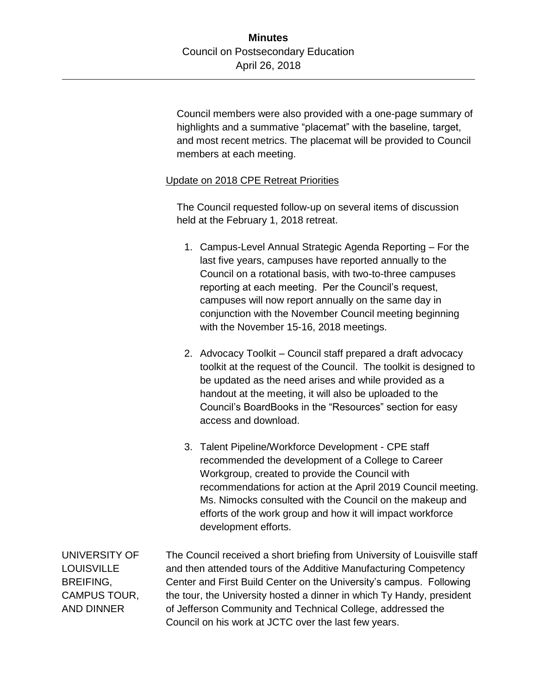Council members were also provided with a one-page summary of highlights and a summative "placemat" with the baseline, target, and most recent metrics. The placemat will be provided to Council members at each meeting.

## Update on 2018 CPE Retreat Priorities

The Council requested follow-up on several items of discussion held at the February 1, 2018 retreat.

- 1. Campus-Level Annual Strategic Agenda Reporting For the last five years, campuses have reported annually to the Council on a rotational basis, with two-to-three campuses reporting at each meeting. Per the Council's request, campuses will now report annually on the same day in conjunction with the November Council meeting beginning with the November 15-16, 2018 meetings.
- 2. Advocacy Toolkit Council staff prepared a draft advocacy toolkit at the request of the Council. The toolkit is designed to be updated as the need arises and while provided as a handout at the meeting, it will also be uploaded to the Council's BoardBooks in the "Resources" section for easy access and download.
- 3. Talent Pipeline/Workforce Development CPE staff recommended the development of a College to Career Workgroup, created to provide the Council with recommendations for action at the April 2019 Council meeting. Ms. Nimocks consulted with the Council on the makeup and efforts of the work group and how it will impact workforce development efforts.

UNIVERSITY OF **LOUISVILLE** BREIFING, CAMPUS TOUR, AND DINNER The Council received a short briefing from University of Louisville staff and then attended tours of the Additive Manufacturing Competency Center and First Build Center on the University's campus. Following the tour, the University hosted a dinner in which Ty Handy, president of Jefferson Community and Technical College, addressed the Council on his work at JCTC over the last few years.